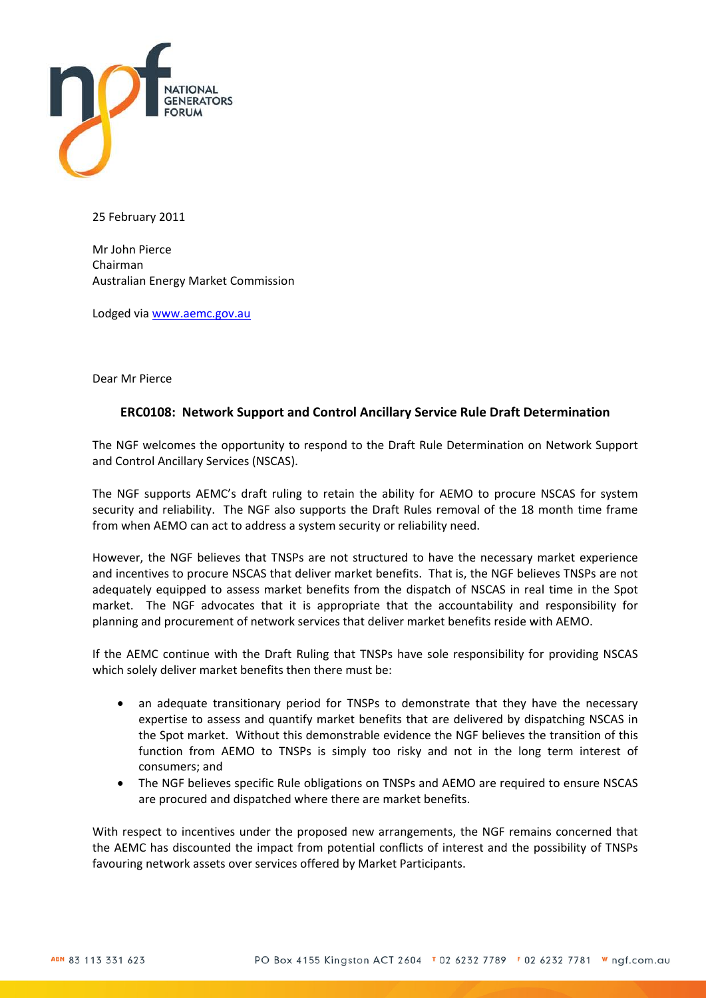

25 February 2011

Mr John Pierce Chairman Australian Energy Market Commission

Lodged via [www.aemc.gov.au](http://www.aemc.gov.au/)

Dear Mr Pierce

### **ERC0108: Network Support and Control Ancillary Service Rule Draft Determination**

The NGF welcomes the opportunity to respond to the Draft Rule Determination on Network Support and Control Ancillary Services (NSCAS).

The NGF supports AEMC's draft ruling to retain the ability for AEMO to procure NSCAS for system security and reliability. The NGF also supports the Draft Rules removal of the 18 month time frame from when AEMO can act to address a system security or reliability need.

However, the NGF believes that TNSPs are not structured to have the necessary market experience and incentives to procure NSCAS that deliver market benefits. That is, the NGF believes TNSPs are not adequately equipped to assess market benefits from the dispatch of NSCAS in real time in the Spot market. The NGF advocates that it is appropriate that the accountability and responsibility for planning and procurement of network services that deliver market benefits reside with AEMO.

If the AEMC continue with the Draft Ruling that TNSPs have sole responsibility for providing NSCAS which solely deliver market benefits then there must be:

- an adequate transitionary period for TNSPs to demonstrate that they have the necessary expertise to assess and quantify market benefits that are delivered by dispatching NSCAS in the Spot market. Without this demonstrable evidence the NGF believes the transition of this function from AEMO to TNSPs is simply too risky and not in the long term interest of consumers; and
- The NGF believes specific Rule obligations on TNSPs and AEMO are required to ensure NSCAS are procured and dispatched where there are market benefits.

With respect to incentives under the proposed new arrangements, the NGF remains concerned that the AEMC has discounted the impact from potential conflicts of interest and the possibility of TNSPs favouring network assets over services offered by Market Participants.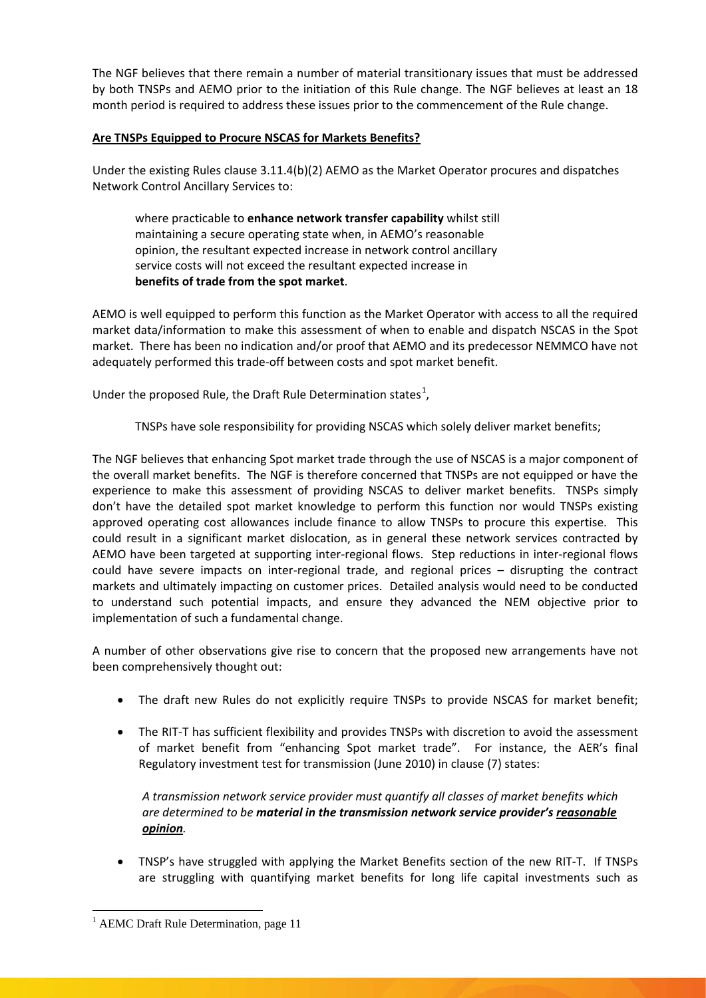The NGF believes that there remain a number of material transitionary issues that must be addressed by both TNSPs and AEMO prior to the initiation of this Rule change. The NGF believes at least an 18 month period is required to address these issues prior to the commencement of the Rule change.

# **Are TNSPs Equipped to Procure NSCAS for Markets Benefits?**

Under the existing Rules clause 3.11.4(b)(2) AEMO as the Market Operator procures and dispatches Network Control Ancillary Services to:

where practicable to **enhance network transfer capability** whilst still maintaining a secure operating state when, in AEMO's reasonable opinion, the resultant expected increase in network control ancillary service costs will not exceed the resultant expected increase in **benefits of trade from the spot market**.

AEMO is well equipped to perform this function as the Market Operator with access to all the required market data/information to make this assessment of when to enable and dispatch NSCAS in the Spot market. There has been no indication and/or proof that AEMO and its predecessor NEMMCO have not adequately performed this trade-off between costs and spot market benefit.

Under the proposed Rule, the Draft Rule Determination states<sup>[1](#page-1-0)</sup>,

TNSPs have sole responsibility for providing NSCAS which solely deliver market benefits;

The NGF believes that enhancing Spot market trade through the use of NSCAS is a major component of the overall market benefits. The NGF is therefore concerned that TNSPs are not equipped or have the experience to make this assessment of providing NSCAS to deliver market benefits. TNSPs simply don't have the detailed spot market knowledge to perform this function nor would TNSPs existing approved operating cost allowances include finance to allow TNSPs to procure this expertise. This could result in a significant market dislocation, as in general these network services contracted by AEMO have been targeted at supporting inter-regional flows. Step reductions in inter-regional flows could have severe impacts on inter-regional trade, and regional prices – disrupting the contract markets and ultimately impacting on customer prices. Detailed analysis would need to be conducted to understand such potential impacts, and ensure they advanced the NEM objective prior to implementation of such a fundamental change.

A number of other observations give rise to concern that the proposed new arrangements have not been comprehensively thought out:

- The draft new Rules do not explicitly require TNSPs to provide NSCAS for market benefit;
- The RIT-T has sufficient flexibility and provides TNSPs with discretion to avoid the assessment of market benefit from "enhancing Spot market trade". For instance, the AER's final Regulatory investment test for transmission (June 2010) in clause (7) states:

*A transmission network service provider must quantify all classes of market benefits which are determined to be material in the transmission network service provider's reasonable opinion.*

• TNSP's have struggled with applying the Market Benefits section of the new RIT-T. If TNSPs are struggling with quantifying market benefits for long life capital investments such as

<span id="page-1-0"></span><sup>&</sup>lt;sup>1</sup> AEMC Draft Rule Determination, page 11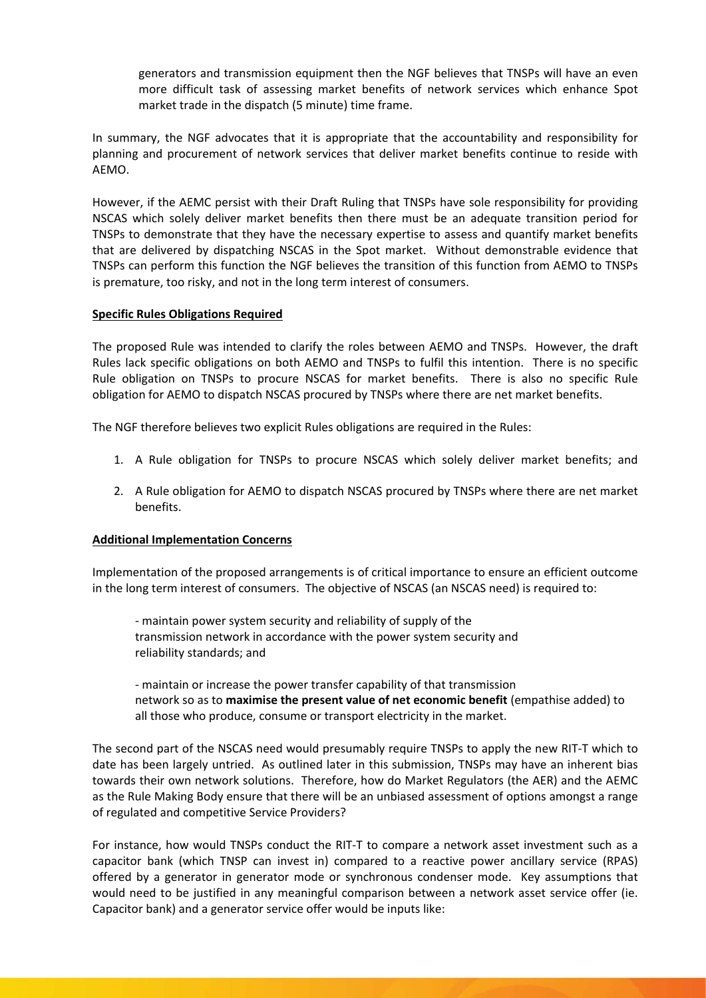generators and transmission equipment then the NGF believes that TNSPs will have an even more difficult task of assessing market benefits of network services which enhance Spot market trade in the dispatch (5 minute) time frame.

In summary, the NGF advocates that it is appropriate that the accountability and responsibility for planning and procurement of network services that deliver market benefits continue to reside with AEMO.

However, if the AEMC persist with their Draft Ruling that TNSPs have sole responsibility for providing NSCAS which solely deliver market benefits then there must be an adequate transition period for TNSPs to demonstrate that they have the necessary expertise to assess and quantify market benefits that are delivered by dispatching NSCAS in the Spot market. Without demonstrable evidence that TNSPs can perform this function the NGF believes the transition of this function from AEMO to TNSPs is premature, too risky, and not in the long term interest of consumers.

# **Specific Rules Obligations Required**

The proposed Rule was intended to clarify the roles between AEMO and TNSPs. However, the draft Rules lack specific obligations on both AEMO and TNSPs to fulfil this intention. There is no specific Rule obligation on TNSPs to procure NSCAS for market benefits. There is also no specific Rule obligation for AEMO to dispatch NSCAS procured by TNSPs where there are net market benefits.

The NGF therefore believes two explicit Rules obligations are required in the Rules:

- 1. A Rule obligation for TNSPs to procure NSCAS which solely deliver market benefits; and
- 2. A Rule obligation for AEMO to dispatch NSCAS procured by TNSPs where there are net market benefits.

# **Additional Implementation Concerns**

Implementation of the proposed arrangements is of critical importance to ensure an efficient outcome in the long term interest of consumers. The objective of NSCAS (an NSCAS need) is required to:

- maintain power system security and reliability of supply of the transmission network in accordance with the power system security and reliability standards; and

- maintain or increase the power transfer capability of that transmission network so as to **maximise the present value of net economic benefit** (empathise added) to all those who produce, consume or transport electricity in the market.

The second part of the NSCAS need would presumably require TNSPs to apply the new RIT-T which to date has been largely untried. As outlined later in this submission, TNSPs may have an inherent bias towards their own network solutions. Therefore, how do Market Regulators (the AER) and the AEMC as the Rule Making Body ensure that there will be an unbiased assessment of options amongst a range of regulated and competitive Service Providers?

For instance, how would TNSPs conduct the RIT-T to compare a network asset investment such as a capacitor bank (which TNSP can invest in) compared to a reactive power ancillary service (RPAS) offered by a generator in generator mode or synchronous condenser mode. Key assumptions that would need to be justified in any meaningful comparison between a network asset service offer (ie. Capacitor bank) and a generator service offer would be inputs like: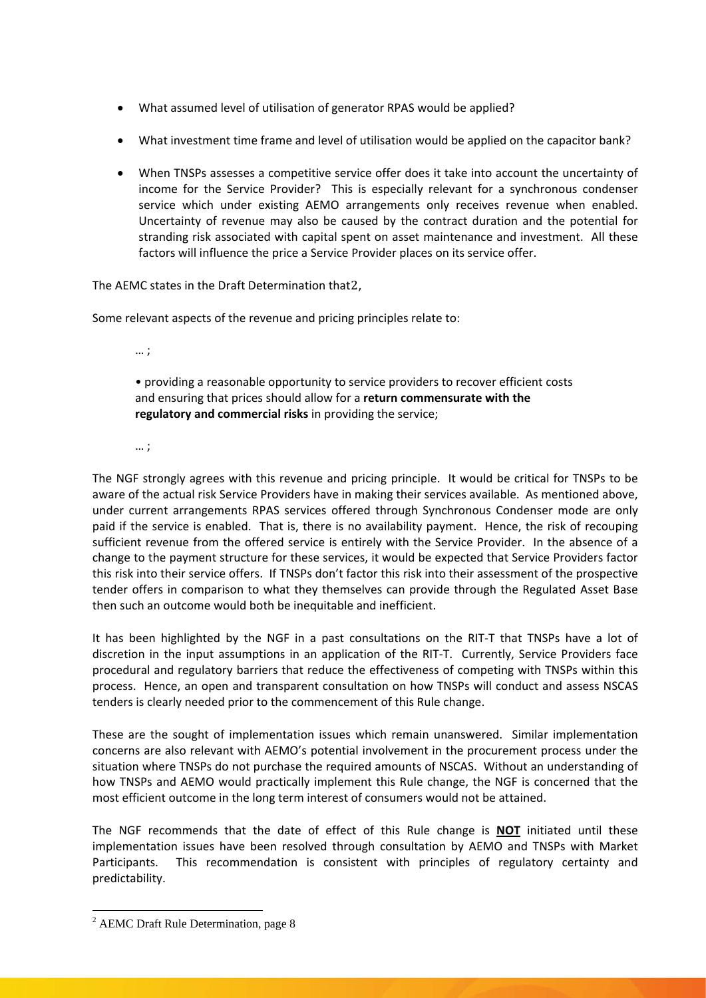- What assumed level of utilisation of generator RPAS would be applied?
- What investment time frame and level of utilisation would be applied on the capacitor bank?
- When TNSPs assesses a competitive service offer does it take into account the uncertainty of income for the Service Provider? This is especially relevant for a synchronous condenser service which under existing AEMO arrangements only receives revenue when enabled. Uncertainty of revenue may also be caused by the contract duration and the potential for stranding risk associated with capital spent on asset maintenance and investment. All these factors will influence the price a Service Provider places on its service offer.

The AEMC states in the Draft Determination that[2](#page-3-0) ,

Some relevant aspects of the revenue and pricing principles relate to:

… ;

• providing a reasonable opportunity to service providers to recover efficient costs and ensuring that prices should allow for a **return commensurate with the regulatory and commercial risks** in providing the service;

… ;

The NGF strongly agrees with this revenue and pricing principle. It would be critical for TNSPs to be aware of the actual risk Service Providers have in making their services available. As mentioned above, under current arrangements RPAS services offered through Synchronous Condenser mode are only paid if the service is enabled. That is, there is no availability payment. Hence, the risk of recouping sufficient revenue from the offered service is entirely with the Service Provider. In the absence of a change to the payment structure for these services, it would be expected that Service Providers factor this risk into their service offers. If TNSPs don't factor this risk into their assessment of the prospective tender offers in comparison to what they themselves can provide through the Regulated Asset Base then such an outcome would both be inequitable and inefficient.

It has been highlighted by the NGF in a past consultations on the RIT-T that TNSPs have a lot of discretion in the input assumptions in an application of the RIT-T. Currently, Service Providers face procedural and regulatory barriers that reduce the effectiveness of competing with TNSPs within this process. Hence, an open and transparent consultation on how TNSPs will conduct and assess NSCAS tenders is clearly needed prior to the commencement of this Rule change.

These are the sought of implementation issues which remain unanswered. Similar implementation concerns are also relevant with AEMO's potential involvement in the procurement process under the situation where TNSPs do not purchase the required amounts of NSCAS. Without an understanding of how TNSPs and AEMO would practically implement this Rule change, the NGF is concerned that the most efficient outcome in the long term interest of consumers would not be attained.

The NGF recommends that the date of effect of this Rule change is **NOT** initiated until these implementation issues have been resolved through consultation by AEMO and TNSPs with Market Participants. This recommendation is consistent with principles of regulatory certainty and predictability.

<span id="page-3-0"></span><sup>&</sup>lt;sup>2</sup> AEMC Draft Rule Determination, page 8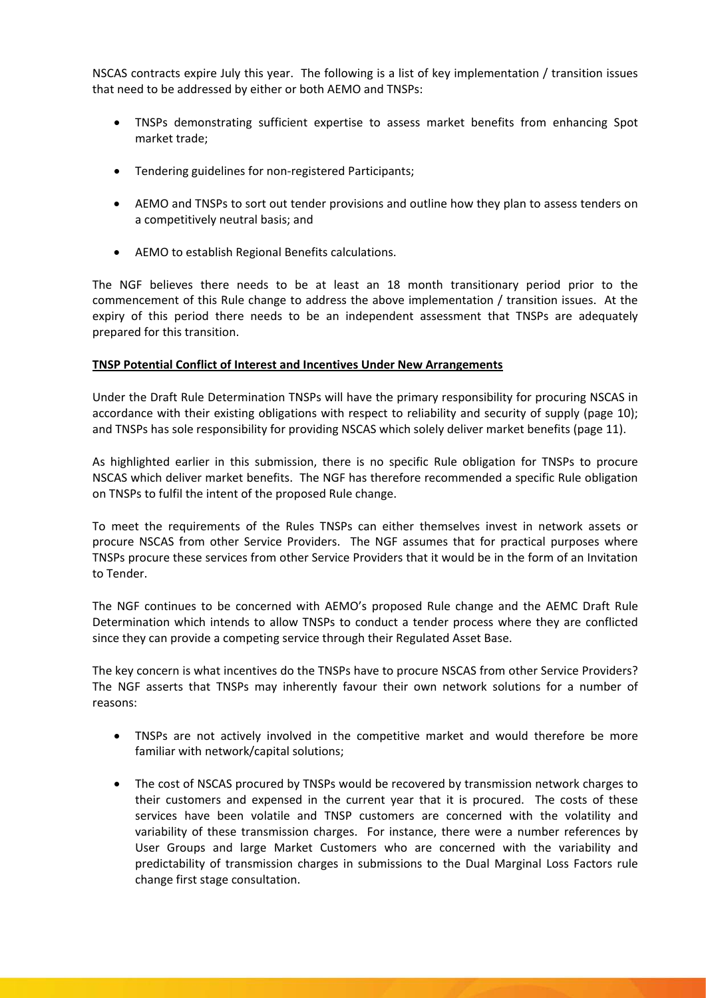NSCAS contracts expire July this year. The following is a list of key implementation / transition issues that need to be addressed by either or both AEMO and TNSPs:

- TNSPs demonstrating sufficient expertise to assess market benefits from enhancing Spot market trade;
- Tendering guidelines for non-registered Participants;
- AEMO and TNSPs to sort out tender provisions and outline how they plan to assess tenders on a competitively neutral basis; and
- AEMO to establish Regional Benefits calculations.

The NGF believes there needs to be at least an 18 month transitionary period prior to the commencement of this Rule change to address the above implementation / transition issues. At the expiry of this period there needs to be an independent assessment that TNSPs are adequately prepared for this transition.

### **TNSP Potential Conflict of Interest and Incentives Under New Arrangements**

Under the Draft Rule Determination TNSPs will have the primary responsibility for procuring NSCAS in accordance with their existing obligations with respect to reliability and security of supply (page 10); and TNSPs has sole responsibility for providing NSCAS which solely deliver market benefits (page 11).

As highlighted earlier in this submission, there is no specific Rule obligation for TNSPs to procure NSCAS which deliver market benefits. The NGF has therefore recommended a specific Rule obligation on TNSPs to fulfil the intent of the proposed Rule change.

To meet the requirements of the Rules TNSPs can either themselves invest in network assets or procure NSCAS from other Service Providers. The NGF assumes that for practical purposes where TNSPs procure these services from other Service Providers that it would be in the form of an Invitation to Tender.

The NGF continues to be concerned with AEMO's proposed Rule change and the AEMC Draft Rule Determination which intends to allow TNSPs to conduct a tender process where they are conflicted since they can provide a competing service through their Regulated Asset Base.

The key concern is what incentives do the TNSPs have to procure NSCAS from other Service Providers? The NGF asserts that TNSPs may inherently favour their own network solutions for a number of reasons:

- TNSPs are not actively involved in the competitive market and would therefore be more familiar with network/capital solutions;
- The cost of NSCAS procured by TNSPs would be recovered by transmission network charges to their customers and expensed in the current year that it is procured. The costs of these services have been volatile and TNSP customers are concerned with the volatility and variability of these transmission charges. For instance, there were a number references by User Groups and large Market Customers who are concerned with the variability and predictability of transmission charges in submissions to the Dual Marginal Loss Factors rule change first stage consultation.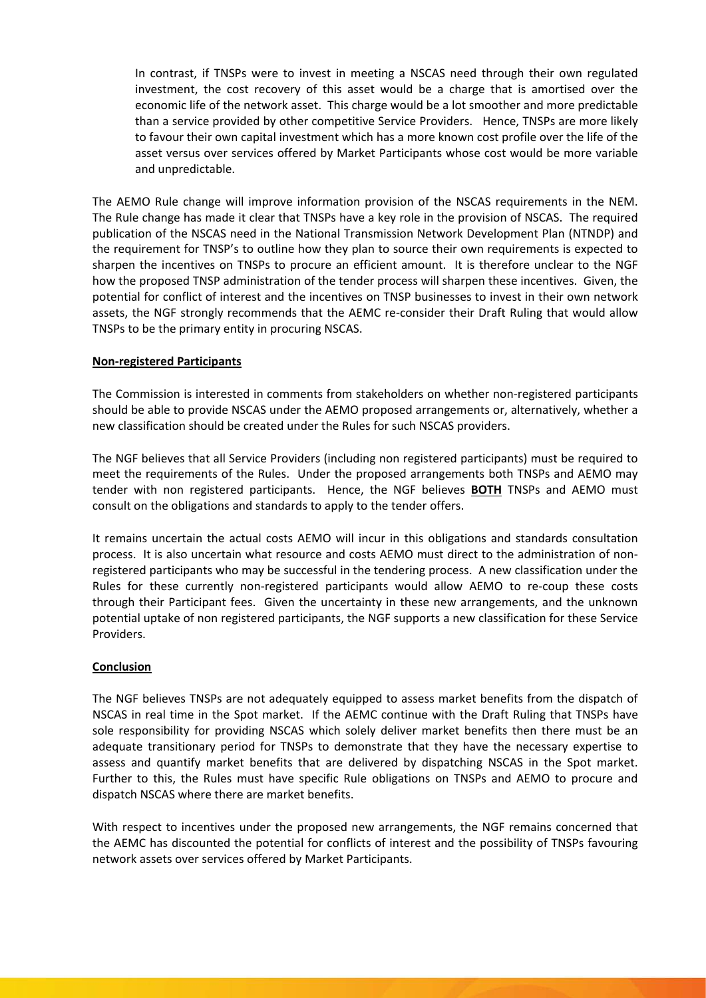In contrast, if TNSPs were to invest in meeting a NSCAS need through their own regulated investment, the cost recovery of this asset would be a charge that is amortised over the economic life of the network asset. This charge would be a lot smoother and more predictable than a service provided by other competitive Service Providers. Hence, TNSPs are more likely to favour their own capital investment which has a more known cost profile over the life of the asset versus over services offered by Market Participants whose cost would be more variable and unpredictable.

The AEMO Rule change will improve information provision of the NSCAS requirements in the NEM. The Rule change has made it clear that TNSPs have a key role in the provision of NSCAS. The required publication of the NSCAS need in the National Transmission Network Development Plan (NTNDP) and the requirement for TNSP's to outline how they plan to source their own requirements is expected to sharpen the incentives on TNSPs to procure an efficient amount. It is therefore unclear to the NGF how the proposed TNSP administration of the tender process will sharpen these incentives. Given, the potential for conflict of interest and the incentives on TNSP businesses to invest in their own network assets, the NGF strongly recommends that the AEMC re-consider their Draft Ruling that would allow TNSPs to be the primary entity in procuring NSCAS.

# **Non-registered Participants**

The Commission is interested in comments from stakeholders on whether non-registered participants should be able to provide NSCAS under the AEMO proposed arrangements or, alternatively, whether a new classification should be created under the Rules for such NSCAS providers.

The NGF believes that all Service Providers (including non registered participants) must be required to meet the requirements of the Rules. Under the proposed arrangements both TNSPs and AEMO may tender with non registered participants. Hence, the NGF believes **BOTH** TNSPs and AEMO must consult on the obligations and standards to apply to the tender offers.

It remains uncertain the actual costs AEMO will incur in this obligations and standards consultation process. It is also uncertain what resource and costs AEMO must direct to the administration of nonregistered participants who may be successful in the tendering process. A new classification under the Rules for these currently non-registered participants would allow AEMO to re-coup these costs through their Participant fees. Given the uncertainty in these new arrangements, and the unknown potential uptake of non registered participants, the NGF supports a new classification for these Service Providers.

# **Conclusion**

The NGF believes TNSPs are not adequately equipped to assess market benefits from the dispatch of NSCAS in real time in the Spot market. If the AEMC continue with the Draft Ruling that TNSPs have sole responsibility for providing NSCAS which solely deliver market benefits then there must be an adequate transitionary period for TNSPs to demonstrate that they have the necessary expertise to assess and quantify market benefits that are delivered by dispatching NSCAS in the Spot market. Further to this, the Rules must have specific Rule obligations on TNSPs and AEMO to procure and dispatch NSCAS where there are market benefits.

With respect to incentives under the proposed new arrangements, the NGF remains concerned that the AEMC has discounted the potential for conflicts of interest and the possibility of TNSPs favouring network assets over services offered by Market Participants.